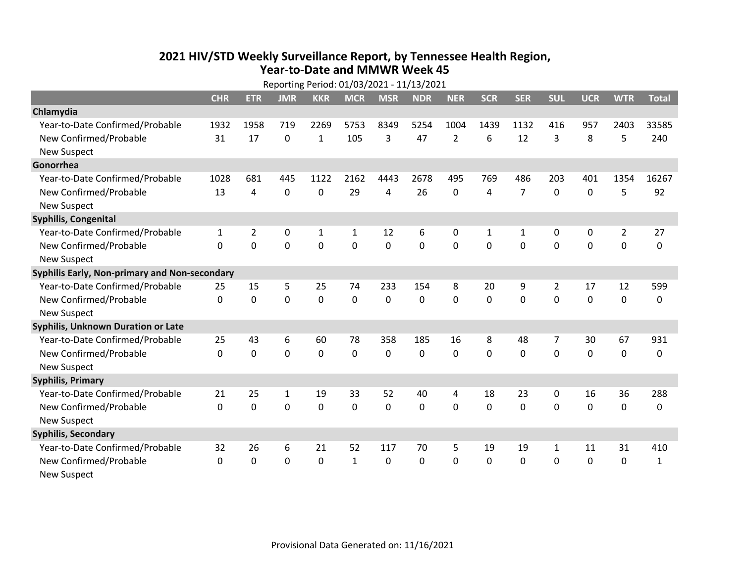## **2021 HIV /STD Weekly Surveillance Report, by Tennessee Health Region, Year‐to‐Date and MMWR Week 45** Reporting Period: 01/03/2021 ‐ 11/13/2021

| Reporting Period: 01/03/2021 - 11/13/2021     |              |                |             |              |              |             |            |                |              |                |              |            |                |              |
|-----------------------------------------------|--------------|----------------|-------------|--------------|--------------|-------------|------------|----------------|--------------|----------------|--------------|------------|----------------|--------------|
|                                               | <b>CHR</b>   | <b>ETR</b>     | <b>JMR</b>  | <b>KKR</b>   | <b>MCR</b>   | <b>MSR</b>  | <b>NDR</b> | <b>NER</b>     | <b>SCR</b>   | <b>SER</b>     | <b>SUL</b>   | <b>UCR</b> | <b>WTR</b>     | <b>Total</b> |
| Chlamydia                                     |              |                |             |              |              |             |            |                |              |                |              |            |                |              |
| Year-to-Date Confirmed/Probable               | 1932         | 1958           | 719         | 2269         | 5753         | 8349        | 5254       | 1004           | 1439         | 1132           | 416          | 957        | 2403           | 33585        |
| New Confirmed/Probable                        | 31           | 17             | 0           | 1            | 105          | 3           | 47         | $\overline{2}$ | 6            | 12             | 3            | 8          | 5              | 240          |
| <b>New Suspect</b>                            |              |                |             |              |              |             |            |                |              |                |              |            |                |              |
| Gonorrhea                                     |              |                |             |              |              |             |            |                |              |                |              |            |                |              |
| Year-to-Date Confirmed/Probable               | 1028         | 681            | 445         | 1122         | 2162         | 4443        | 2678       | 495            | 769          | 486            | 203          | 401        | 1354           | 16267        |
| New Confirmed/Probable                        | 13           | 4              | $\mathbf 0$ | 0            | 29           | 4           | 26         | 0              | 4            | $\overline{7}$ | 0            | 0          | 5              | 92           |
| <b>New Suspect</b>                            |              |                |             |              |              |             |            |                |              |                |              |            |                |              |
| <b>Syphilis, Congenital</b>                   |              |                |             |              |              |             |            |                |              |                |              |            |                |              |
| Year-to-Date Confirmed/Probable               | $\mathbf{1}$ | $\overline{2}$ | 0           | $\mathbf{1}$ | 1            | 12          | 6          | 0              | 1            | 1              | 0            | 0          | $\overline{2}$ | 27           |
| New Confirmed/Probable                        | $\mathbf{0}$ | 0              | 0           | 0            | $\mathbf 0$  | $\mathbf 0$ | 0          | $\mathbf 0$    | 0            | 0              | 0            | 0          | $\mathbf 0$    | 0            |
| <b>New Suspect</b>                            |              |                |             |              |              |             |            |                |              |                |              |            |                |              |
| Syphilis Early, Non-primary and Non-secondary |              |                |             |              |              |             |            |                |              |                |              |            |                |              |
| Year-to-Date Confirmed/Probable               | 25           | 15             | 5           | 25           | 74           | 233         | 154        | 8              | 20           | 9              | 2            | 17         | 12             | 599          |
| New Confirmed/Probable                        | $\Omega$     | $\Omega$       | $\Omega$    | 0            | $\mathbf 0$  | $\Omega$    | 0          | $\Omega$       | $\Omega$     | $\Omega$       | $\Omega$     | $\Omega$   | $\mathbf 0$    | 0            |
| <b>New Suspect</b>                            |              |                |             |              |              |             |            |                |              |                |              |            |                |              |
| Syphilis, Unknown Duration or Late            |              |                |             |              |              |             |            |                |              |                |              |            |                |              |
| Year-to-Date Confirmed/Probable               | 25           | 43             | 6           | 60           | 78           | 358         | 185        | 16             | 8            | 48             | 7            | 30         | 67             | 931          |
| New Confirmed/Probable                        | $\Omega$     | $\mathbf 0$    | $\mathbf 0$ | 0            | $\mathbf 0$  | 0           | $\Omega$   | $\Omega$       | $\Omega$     | $\Omega$       | $\Omega$     | 0          | $\mathbf 0$    | 0            |
| <b>New Suspect</b>                            |              |                |             |              |              |             |            |                |              |                |              |            |                |              |
| <b>Syphilis, Primary</b>                      |              |                |             |              |              |             |            |                |              |                |              |            |                |              |
| Year-to-Date Confirmed/Probable               | 21           | 25             | 1           | 19           | 33           | 52          | 40         | 4              | 18           | 23             | 0            | 16         | 36             | 288          |
| New Confirmed/Probable                        | $\Omega$     | 0              | 0           | 0            | $\mathbf{0}$ | 0           | 0          | $\Omega$       | $\Omega$     | $\Omega$       | $\Omega$     | 0          | 0              | 0            |
| <b>New Suspect</b>                            |              |                |             |              |              |             |            |                |              |                |              |            |                |              |
| <b>Syphilis, Secondary</b>                    |              |                |             |              |              |             |            |                |              |                |              |            |                |              |
| Year-to-Date Confirmed/Probable               | 32           | 26             | 6           | 21           | 52           | 117         | 70         | 5              | 19           | 19             | 1            | 11         | 31             | 410          |
| New Confirmed/Probable                        | $\mathbf{0}$ | 0              | 0           | 0            | $\mathbf{1}$ | 0           | 0          | $\Omega$       | $\mathbf{0}$ | 0              | $\mathbf{0}$ | 0          | $\mathbf 0$    | $\mathbf{1}$ |
| <b>New Suspect</b>                            |              |                |             |              |              |             |            |                |              |                |              |            |                |              |